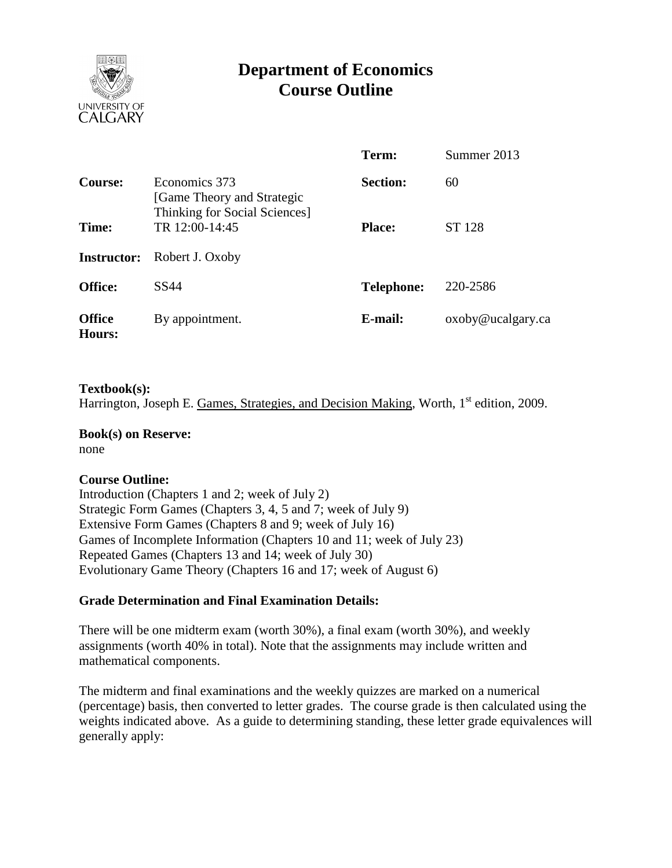

# **Department of Economics Course Outline**

|                         |                                                                              | Term:             | Summer 2013       |  |
|-------------------------|------------------------------------------------------------------------------|-------------------|-------------------|--|
| Course:                 | Economics 373<br>[Game Theory and Strategic<br>Thinking for Social Sciences] | <b>Section:</b>   | 60                |  |
| Time:                   | TR 12:00-14:45                                                               | <b>Place:</b>     | ST 128            |  |
| <b>Instructor:</b>      | Robert J. Oxoby                                                              |                   |                   |  |
| <b>Office:</b>          | SS44                                                                         | <b>Telephone:</b> | 220-2586          |  |
| <b>Office</b><br>Hours: | By appointment.                                                              | E-mail:           | oxoby@ucalgary.ca |  |

#### **Textbook(s):**

Harrington, Joseph E. Games, Strategies, and Decision Making, Worth,  $1<sup>st</sup>$  edition, 2009.

## **Book(s) on Reserve:**

none

#### **Course Outline:**

Introduction (Chapters 1 and 2; week of July 2) Strategic Form Games (Chapters 3, 4, 5 and 7; week of July 9) Extensive Form Games (Chapters 8 and 9; week of July 16) Games of Incomplete Information (Chapters 10 and 11; week of July 23) Repeated Games (Chapters 13 and 14; week of July 30) Evolutionary Game Theory (Chapters 16 and 17; week of August 6)

#### **Grade Determination and Final Examination Details:**

There will be one midterm exam (worth 30%), a final exam (worth 30%), and weekly assignments (worth 40% in total). Note that the assignments may include written and mathematical components.

The midterm and final examinations and the weekly quizzes are marked on a numerical (percentage) basis, then converted to letter grades. The course grade is then calculated using the weights indicated above. As a guide to determining standing, these letter grade equivalences will generally apply: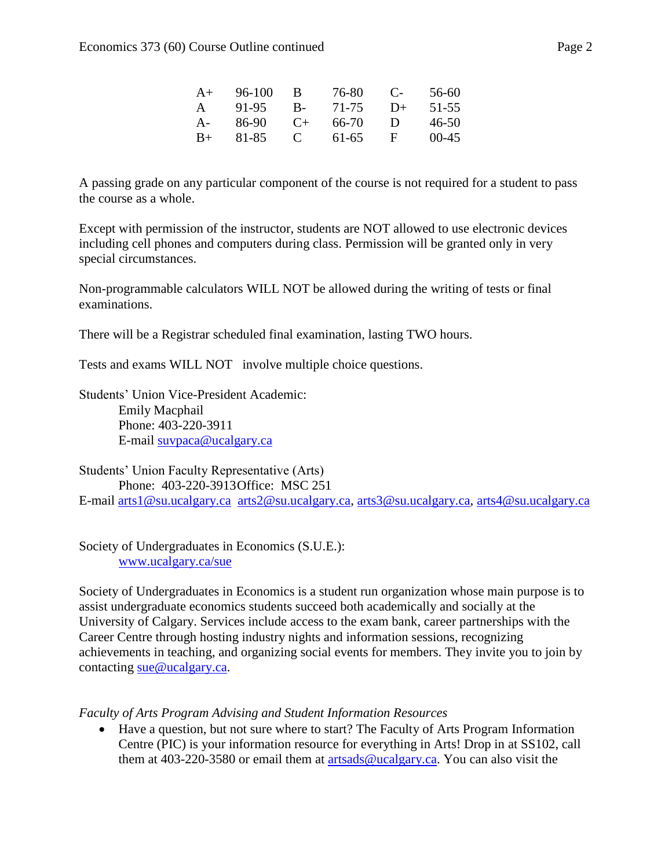| $A+$  | $96-100$ | B           | 76-80 | $\mathbf{C}$ | 56-60   |
|-------|----------|-------------|-------|--------------|---------|
| A     | 91-95    | $B -$       | 71-75 | $D+$         | 51-55   |
| $A -$ | 86-90    | $($ +       | 66-70 | Ð            | 46-50   |
| $B+$  | 81-85    | $\mathbf C$ | 61-65 | н            | $00-45$ |

A passing grade on any particular component of the course is not required for a student to pass the course as a whole.

Except with permission of the instructor, students are NOT allowed to use electronic devices including cell phones and computers during class. Permission will be granted only in very special circumstances.

Non-programmable calculators WILL NOT be allowed during the writing of tests or final examinations.

There will be a Registrar scheduled final examination, lasting TWO hours.

Tests and exams WILL NOT involve multiple choice questions.

Students' Union Vice-President Academic: Emily Macphail Phone: 403-220-3911 E-mail [suvpaca@ucalgary.ca](mailto:subpaca@ucalgary.ca)

Students' Union Faculty Representative (Arts) Phone: 403-220-3913Office: MSC 251 E-mail [arts1@su.ucalgary.ca](mailto:arts1@su.ucalgary.ca) [arts2@su.ucalgary.ca,](mailto:arts2@su.ucalgary.ca) [arts3@su.ucalgary.ca,](mailto:arts3@su.ucalgary.ca) [arts4@su.ucalgary.ca](mailto:arts4@su.ucalgary.ca)

Society of Undergraduates in Economics (S.U.E.): [www.ucalgary.ca/sue](http://www.fp.ucalgary.ca/econ)

Society of Undergraduates in Economics is a student run organization whose main purpose is to assist undergraduate economics students succeed both academically and socially at the University of Calgary. Services include access to the exam bank, career partnerships with the Career Centre through hosting industry nights and information sessions, recognizing achievements in teaching, and organizing social events for members. They invite you to join by contacting [sue@ucalgary.ca.](mailto:sue@ucalgary.ca)

*Faculty of Arts Program Advising and Student Information Resources*

 Have a question, but not sure where to start? The Faculty of Arts Program Information Centre (PIC) is your information resource for everything in Arts! Drop in at SS102, call them at 403-220-3580 or email them at  $artsads@ucalgary.ca$ . You can also visit the